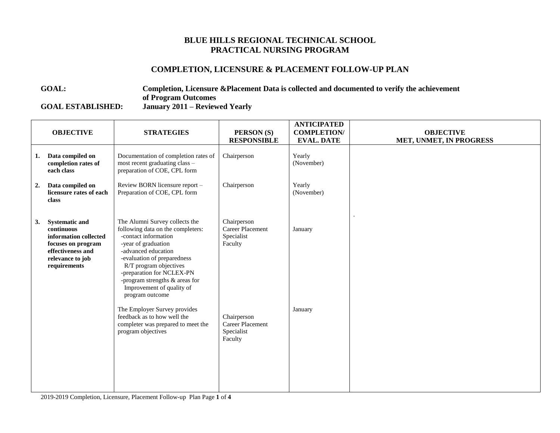## **BLUE HILLS REGIONAL TECHNICAL SCHOOL PRACTICAL NURSING PROGRAM**

## **COMPLETION, LICENSURE & PLACEMENT FOLLOW-UP PLAN**

**GOAL: Completion, Licensure &Placement Data is collected and documented to verify the achievement of Program Outcomes GOAL ESTABLISHED: January 2011 – Reviewed Yearly**

|    | <b>OBJECTIVE</b>                                                                                                                            | <b>STRATEGIES</b>                                                                                                                                                                                                                                                                                                 | PERSON (S)<br><b>RESPONSIBLE</b>                                | <b>ANTICIPATED</b><br><b>COMPLETION/</b><br><b>EVAL. DATE</b> | <b>OBJECTIVE</b><br>MET, UNMET, IN PROGRESS |
|----|---------------------------------------------------------------------------------------------------------------------------------------------|-------------------------------------------------------------------------------------------------------------------------------------------------------------------------------------------------------------------------------------------------------------------------------------------------------------------|-----------------------------------------------------------------|---------------------------------------------------------------|---------------------------------------------|
| 1. | Data compiled on<br>completion rates of<br>each class                                                                                       | Documentation of completion rates of<br>most recent graduating class -<br>preparation of COE, CPL form                                                                                                                                                                                                            | Chairperson                                                     | Yearly<br>(November)                                          |                                             |
| 2. | Data compiled on<br>licensure rates of each<br>class                                                                                        | Review BORN licensure report -<br>Preparation of COE, CPL form                                                                                                                                                                                                                                                    | Chairperson                                                     | Yearly<br>(November)                                          |                                             |
| 3. | <b>Systematic and</b><br>continuous<br>information collected<br>focuses on program<br>effectiveness and<br>relevance to job<br>requirements | The Alumni Survey collects the<br>following data on the completers:<br>-contact information<br>-year of graduation<br>-advanced education<br>-evaluation of preparedness<br>R/T program objectives<br>-preparation for NCLEX-PN<br>-program strengths & areas for<br>Improvement of quality of<br>program outcome | Chairperson<br><b>Career Placement</b><br>Specialist<br>Faculty | January                                                       |                                             |
|    |                                                                                                                                             | The Employer Survey provides<br>feedback as to how well the<br>completer was prepared to meet the<br>program objectives                                                                                                                                                                                           | Chairperson<br>Career Placement<br>Specialist<br>Faculty        | January                                                       |                                             |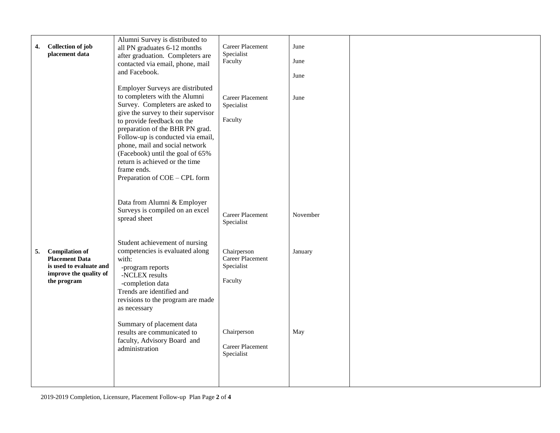|    |                          | Alumni Survey is distributed to                                    |                  |          |  |
|----|--------------------------|--------------------------------------------------------------------|------------------|----------|--|
| 4. | <b>Collection of job</b> | all PN graduates 6-12 months                                       | Career Placement | June     |  |
|    | placement data           | after graduation. Completers are                                   | Specialist       |          |  |
|    |                          | contacted via email, phone, mail                                   | Faculty          | June     |  |
|    |                          | and Facebook.                                                      |                  | June     |  |
|    |                          |                                                                    |                  |          |  |
|    |                          | Employer Surveys are distributed                                   |                  |          |  |
|    |                          | to completers with the Alumni                                      | Career Placement | June     |  |
|    |                          | Survey. Completers are asked to                                    | Specialist       |          |  |
|    |                          | give the survey to their supervisor                                |                  |          |  |
|    |                          | to provide feedback on the                                         | Faculty          |          |  |
|    |                          | preparation of the BHR PN grad.                                    |                  |          |  |
|    |                          | Follow-up is conducted via email,                                  |                  |          |  |
|    |                          | phone, mail and social network<br>(Facebook) until the goal of 65% |                  |          |  |
|    |                          | return is achieved or the time                                     |                  |          |  |
|    |                          | frame ends.                                                        |                  |          |  |
|    |                          | Preparation of COE - CPL form                                      |                  |          |  |
|    |                          |                                                                    |                  |          |  |
|    |                          |                                                                    |                  |          |  |
|    |                          | Data from Alumni & Employer                                        |                  |          |  |
|    |                          | Surveys is compiled on an excel                                    | Career Placement | November |  |
|    |                          | spread sheet                                                       | Specialist       |          |  |
|    |                          |                                                                    |                  |          |  |
|    |                          | Student achievement of nursing                                     |                  |          |  |
| 5. | <b>Compilation of</b>    | competencies is evaluated along                                    | Chairperson      | January  |  |
|    | <b>Placement Data</b>    | with:                                                              | Career Placement |          |  |
|    | is used to evaluate and  | -program reports                                                   | Specialist       |          |  |
|    | improve the quality of   | -NCLEX results                                                     |                  |          |  |
|    | the program              | -completion data                                                   | Faculty          |          |  |
|    |                          | Trends are identified and                                          |                  |          |  |
|    |                          | revisions to the program are made                                  |                  |          |  |
|    |                          | as necessary                                                       |                  |          |  |
|    |                          |                                                                    |                  |          |  |
|    |                          | Summary of placement data                                          | Chairperson      | May      |  |
|    |                          | results are communicated to<br>faculty, Advisory Board and         |                  |          |  |
|    |                          | administration                                                     | Career Placement |          |  |
|    |                          |                                                                    | Specialist       |          |  |
|    |                          |                                                                    |                  |          |  |
|    |                          |                                                                    |                  |          |  |
|    |                          |                                                                    |                  |          |  |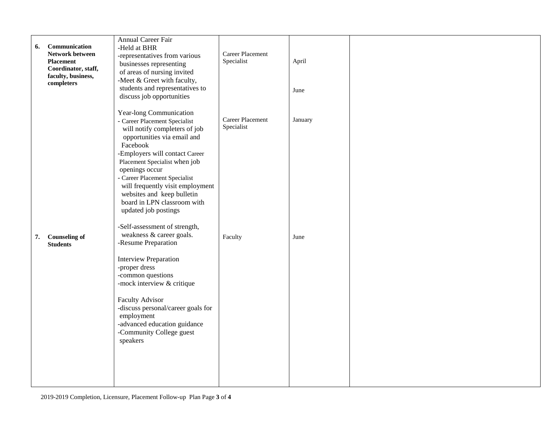| Communication<br>6.<br>Network between<br><b>Placement</b> | Annual Career Fair<br>-Held at BHR<br>-representatives from various                                                                                                                                                                                                                                                                                                                 | Career Placement<br>Specialist | April   |  |
|------------------------------------------------------------|-------------------------------------------------------------------------------------------------------------------------------------------------------------------------------------------------------------------------------------------------------------------------------------------------------------------------------------------------------------------------------------|--------------------------------|---------|--|
| Coordinator, staff,<br>faculty, business,<br>completers    | businesses representing<br>of areas of nursing invited<br>-Meet & Greet with faculty,<br>students and representatives to                                                                                                                                                                                                                                                            |                                | June    |  |
|                                                            | discuss job opportunities                                                                                                                                                                                                                                                                                                                                                           |                                |         |  |
|                                                            | Year-long Communication<br>- Career Placement Specialist<br>will notify completers of job<br>opportunities via email and<br>Facebook<br>-Employers will contact Career<br>Placement Specialist when job<br>openings occur<br>- Career Placement Specialist<br>will frequently visit employment<br>websites and keep bulletin<br>board in LPN classroom with<br>updated job postings | Career Placement<br>Specialist | January |  |
| <b>Counseling of</b><br>7.<br><b>Students</b>              | -Self-assessment of strength,<br>weakness & career goals.<br>-Resume Preparation                                                                                                                                                                                                                                                                                                    | Faculty                        | June    |  |
|                                                            | <b>Interview Preparation</b><br>-proper dress<br>-common questions<br>-mock interview & critique                                                                                                                                                                                                                                                                                    |                                |         |  |
|                                                            | <b>Faculty Advisor</b><br>-discuss personal/career goals for<br>employment<br>-advanced education guidance<br>-Community College guest<br>speakers                                                                                                                                                                                                                                  |                                |         |  |
|                                                            |                                                                                                                                                                                                                                                                                                                                                                                     |                                |         |  |